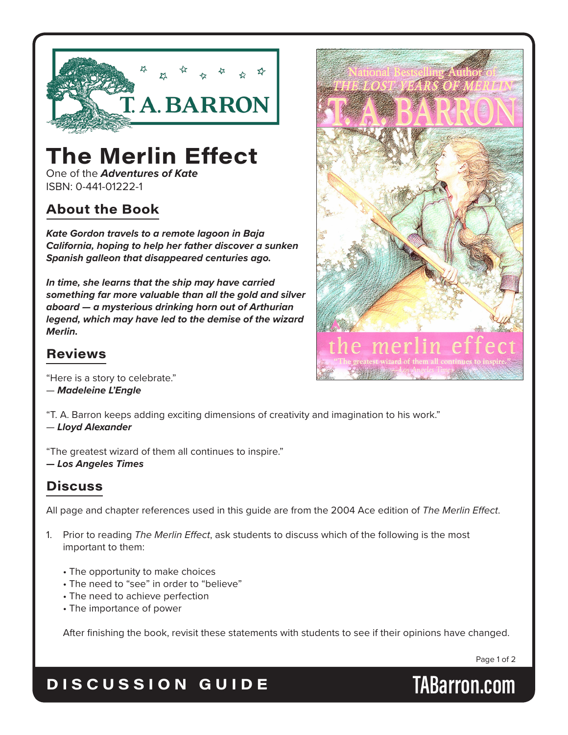

# **The Merlin Effect**

One of the *Adventures of Kate* ISBN: 0-441-01222-1

### **About the Book**

*Kate Gordon travels to a remote lagoon in Baja California, hoping to help her father discover a sunken Spanish galleon that disappeared centuries ago.*

*In time, she learns that the ship may have carried something far more valuable than all the gold and silver aboard — a mysterious drinking horn out of Arthurian legend, which may have led to the demise of the wizard Merlin.*



#### **Reviews**

"Here is a story to celebrate." — *Madeleine L'Engle*

"T. A. Barron keeps adding exciting dimensions of creativity and imagination to his work." — *Lloyd Alexander*

"The greatest wizard of them all continues to inspire." **—** *Los Angeles Times*

## **Discuss**

All page and chapter references used in this guide are from the 2004 Ace edition of *The Merlin Effect*.

- 1. Prior to reading *The Merlin Effect*, ask students to discuss which of the following is the most important to them:
	- The opportunity to make choices
	- The need to "see" in order to "believe"
	- The need to achieve perfection
	- The importance of power

After finishing the book, revisit these statements with students to see if their opinions have changed.

Page 1 of 2

## **DISCUSSION GUIDE TABarron.com**